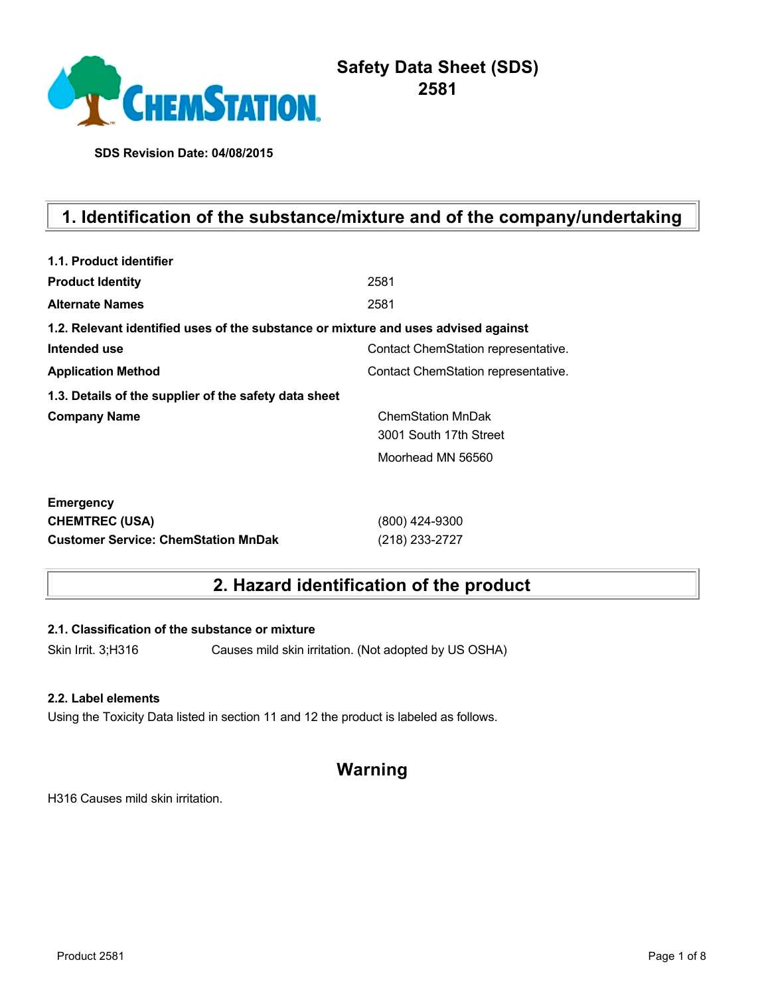

# **Safety Data Sheet (SDS) 2581**

**SDS Revision Date: 04/08/2015**

# **1. Identification of the substance/mixture and of the company/undertaking**

| 1.1. Product identifier                                                            |                                     |
|------------------------------------------------------------------------------------|-------------------------------------|
| <b>Product Identity</b>                                                            | 2581                                |
| <b>Alternate Names</b>                                                             | 2581                                |
| 1.2. Relevant identified uses of the substance or mixture and uses advised against |                                     |
| Intended use                                                                       | Contact ChemStation representative. |
| <b>Application Method</b>                                                          | Contact ChemStation representative. |
| 1.3. Details of the supplier of the safety data sheet                              |                                     |
| <b>Company Name</b>                                                                | <b>ChemStation MnDak</b>            |
|                                                                                    | 3001 South 17th Street              |
|                                                                                    | Moorhead MN 56560                   |
| <b>Emergency</b>                                                                   |                                     |
| <b>CHEMTREC (USA)</b>                                                              | (800) 424-9300                      |
| <b>Customer Service: ChemStation MnDak</b>                                         | (218) 233-2727                      |

# **2. Hazard identification of the product**

**2.1. Classification of the substance or mixture**

Skin Irrit. 3;H316 Causes mild skin irritation. (Not adopted by US OSHA)

### **2.2. Label elements**

Using the Toxicity Data listed in section 11 and 12 the product is labeled as follows.

# **Warning**

H316 Causes mild skin irritation.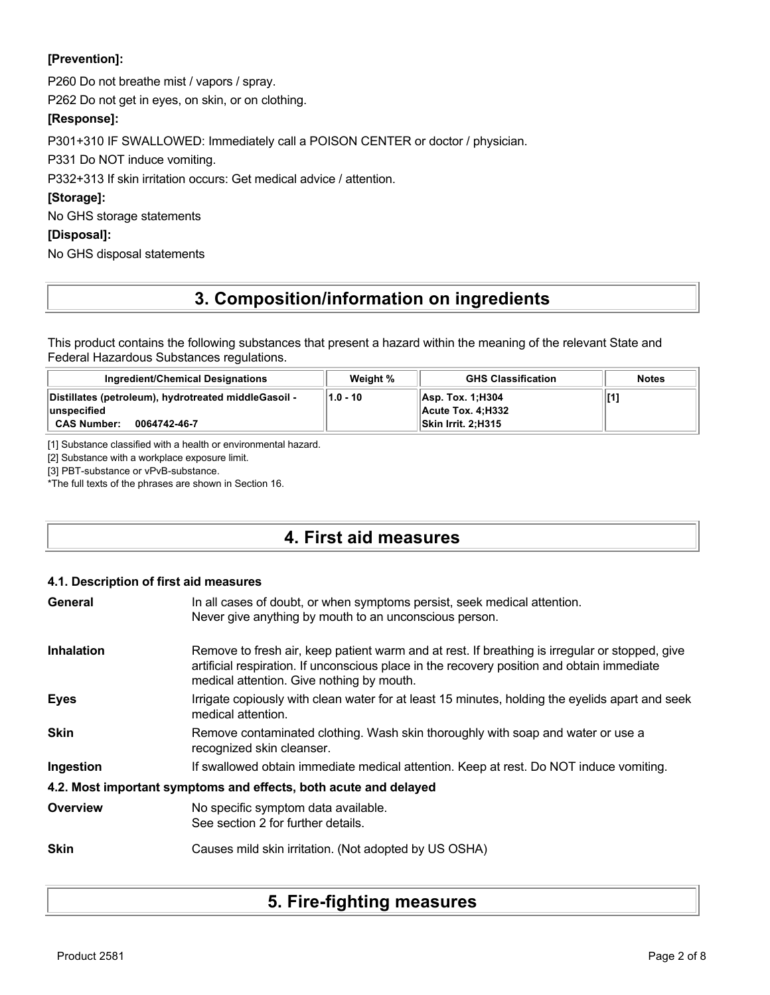## **[Prevention]:**

P260 Do not breathe mist / vapors / spray.

P262 Do not get in eyes, on skin, or on clothing.

## **[Response]:**

P301+310 IF SWALLOWED: Immediately call a POISON CENTER or doctor / physician.

P331 Do NOT induce vomiting.

P332+313 If skin irritation occurs: Get medical advice / attention.

## **[Storage]:**

No GHS storage statements

### **[Disposal]:**

No GHS disposal statements

# **3. Composition/information on ingredients**

This product contains the following substances that present a hazard within the meaning of the relevant State and Federal Hazardous Substances regulations.

| Ingredient/Chemical Designations                                                                            | Weight % | <b>GHS Classification</b>                                            | <b>Notes</b> |
|-------------------------------------------------------------------------------------------------------------|----------|----------------------------------------------------------------------|--------------|
| Distillates (petroleum), hydrotreated middleGasoil -<br>ˈlunspecified<br><b>CAS Number:</b><br>0064742-46-7 | 1.0 - 10 | Asp. Tox. 1:H304<br><b>∣ Acute Tox. 4:Н332</b><br>Skin Irrit. 2:H315 |              |

[1] Substance classified with a health or environmental hazard.

[2] Substance with a workplace exposure limit.

[3] PBT-substance or vPvB-substance.

\*The full texts of the phrases are shown in Section 16.

# **4. First aid measures**

#### **4.1. Description of first aid measures**

| General           | In all cases of doubt, or when symptoms persist, seek medical attention.<br>Never give anything by mouth to an unconscious person.                                                                                                        |
|-------------------|-------------------------------------------------------------------------------------------------------------------------------------------------------------------------------------------------------------------------------------------|
| <b>Inhalation</b> | Remove to fresh air, keep patient warm and at rest. If breathing is irregular or stopped, give<br>artificial respiration. If unconscious place in the recovery position and obtain immediate<br>medical attention. Give nothing by mouth. |
| <b>Eyes</b>       | Irrigate copiously with clean water for at least 15 minutes, holding the eyelids apart and seek<br>medical attention.                                                                                                                     |
| <b>Skin</b>       | Remove contaminated clothing. Wash skin thoroughly with soap and water or use a<br>recognized skin cleanser.                                                                                                                              |
| Ingestion         | If swallowed obtain immediate medical attention. Keep at rest. Do NOT induce vomiting.                                                                                                                                                    |
|                   | 4.2. Most important symptoms and effects, both acute and delayed                                                                                                                                                                          |
| Overview          | No specific symptom data available.<br>See section 2 for further details.                                                                                                                                                                 |
| <b>Skin</b>       | Causes mild skin irritation. (Not adopted by US OSHA)                                                                                                                                                                                     |

# **5. Fire-fighting measures**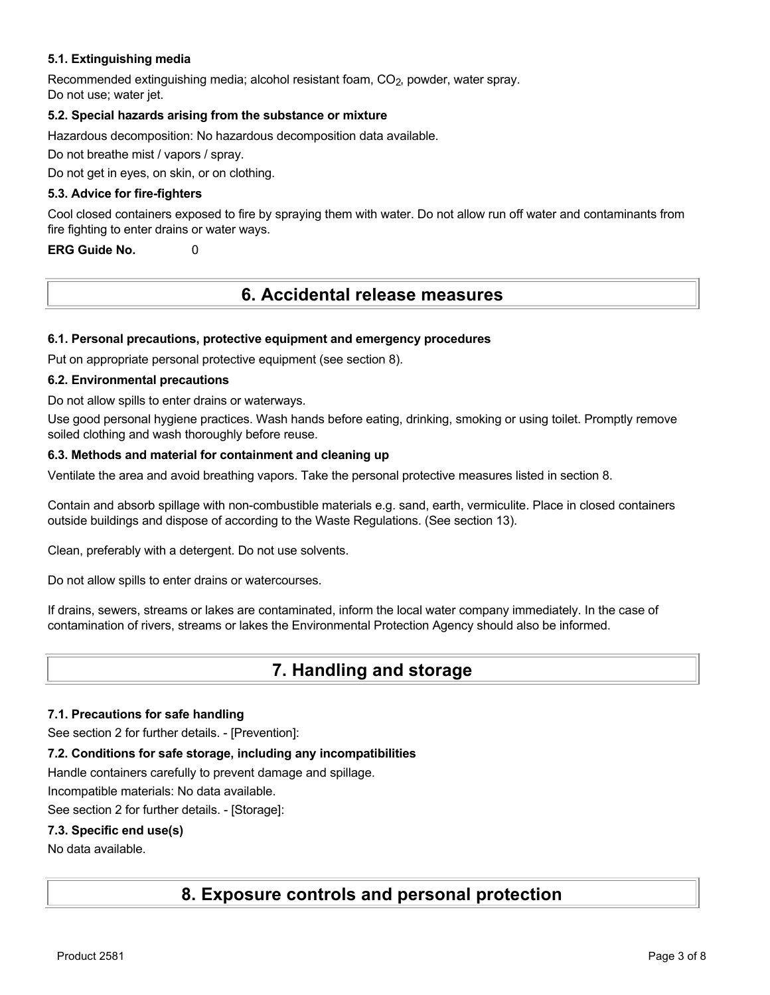### **5.1. Extinguishing media**

Recommended extinguishing media; alcohol resistant foam, CO<sub>2</sub>, powder, water spray. Do not use; water jet.

#### **5.2. Special hazards arising from the substance or mixture**

Hazardous decomposition: No hazardous decomposition data available.

Do not breathe mist / vapors / spray.

Do not get in eyes, on skin, or on clothing.

#### **5.3. Advice for fire-fighters**

Cool closed containers exposed to fire by spraying them with water. Do not allow run off water and contaminants from fire fighting to enter drains or water ways.

**ERG Guide No.** 0

# **6. Accidental release measures**

#### **6.1. Personal precautions, protective equipment and emergency procedures**

Put on appropriate personal protective equipment (see section 8).

#### **6.2. Environmental precautions**

Do not allow spills to enter drains or waterways.

Use good personal hygiene practices. Wash hands before eating, drinking, smoking or using toilet. Promptly remove soiled clothing and wash thoroughly before reuse.

#### **6.3. Methods and material for containment and cleaning up**

Ventilate the area and avoid breathing vapors. Take the personal protective measures listed in section 8.

Contain and absorb spillage with non-combustible materials e.g. sand, earth, vermiculite. Place in closed containers outside buildings and dispose of according to the Waste Regulations. (See section 13).

Clean, preferably with a detergent. Do not use solvents.

Do not allow spills to enter drains or watercourses.

If drains, sewers, streams or lakes are contaminated, inform the local water company immediately. In the case of contamination of rivers, streams or lakes the Environmental Protection Agency should also be informed.

# **7. Handling and storage**

#### **7.1. Precautions for safe handling**

See section 2 for further details. - [Prevention]:

## **7.2. Conditions for safe storage, including any incompatibilities**

Handle containers carefully to prevent damage and spillage.

Incompatible materials: No data available.

See section 2 for further details. - [Storage]:

## **7.3. Specific end use(s)**

No data available.

# **8. Exposure controls and personal protection**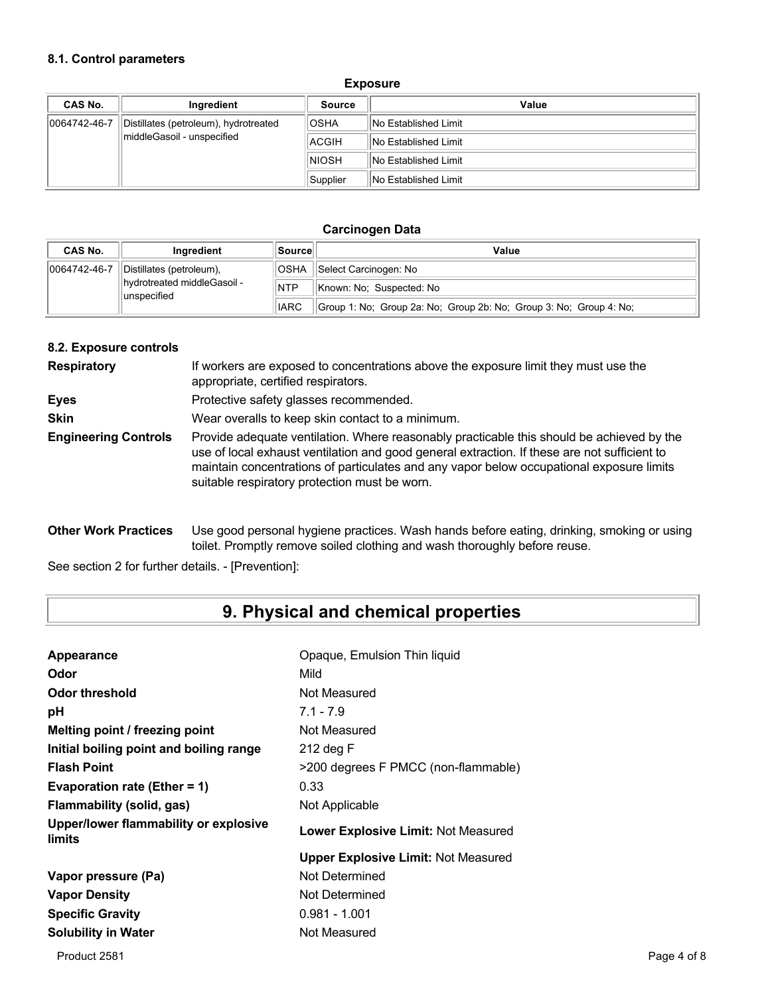### **8.1. Control parameters**

#### **Exposure**

| CAS No.      | Ingredient                            | <b>Source</b> | Value                       |
|--------------|---------------------------------------|---------------|-----------------------------|
| 0064742-46-7 | Distillates (petroleum), hydrotreated | <b>OSHA</b>   | <b>No Established Limit</b> |
|              | middleGasoil - unspecified            | ACGIH         | <b>No Established Limit</b> |
|              |                                       | <b>NIOSH</b>  | <b>No Established Limit</b> |
|              |                                       | Supplier      | <b>No Established Limit</b> |

#### **Carcinogen Data**

| CAS No.      | Inaredient                                    | ∣Source∣    | Value                                                              |
|--------------|-----------------------------------------------|-------------|--------------------------------------------------------------------|
| 0064742-46-7 | Distillates (petroleum),                      | <b>OSHA</b> | Select Carcinogen: No                                              |
|              | llhydrotreated middleGasoil -<br>lunspecified | <b>NTP</b>  | Known: No: Suspected: No                                           |
| <b>IARC</b>  |                                               |             | Group 1: No: Group 2a: No: Group 2b: No: Group 3: No: Group 4: No: |

#### **8.2. Exposure controls**

| <b>Respiratory</b>          | If workers are exposed to concentrations above the exposure limit they must use the<br>appropriate, certified respirators.                                                                                                                                                                                                             |
|-----------------------------|----------------------------------------------------------------------------------------------------------------------------------------------------------------------------------------------------------------------------------------------------------------------------------------------------------------------------------------|
| <b>Eyes</b>                 | Protective safety glasses recommended.                                                                                                                                                                                                                                                                                                 |
| <b>Skin</b>                 | Wear overalls to keep skin contact to a minimum.                                                                                                                                                                                                                                                                                       |
| <b>Engineering Controls</b> | Provide adequate ventilation. Where reasonably practicable this should be achieved by the<br>use of local exhaust ventilation and good general extraction. If these are not sufficient to<br>maintain concentrations of particulates and any vapor below occupational exposure limits<br>suitable respiratory protection must be worn. |

**Other Work Practices** Use good personal hygiene practices. Wash hands before eating, drinking, smoking or using toilet. Promptly remove soiled clothing and wash thoroughly before reuse.

See section 2 for further details. - [Prevention]:

# **9. Physical and chemical properties**

| Opaque, Emulsion Thin liquid               |
|--------------------------------------------|
| Mild                                       |
| Not Measured                               |
| $7.1 - 7.9$                                |
| Not Measured                               |
| 212 deg F                                  |
| >200 degrees F PMCC (non-flammable)        |
| 0.33                                       |
| Not Applicable                             |
| Lower Explosive Limit: Not Measured        |
| <b>Upper Explosive Limit: Not Measured</b> |
| Not Determined                             |
| Not Determined                             |
| $0.981 - 1.001$                            |
| Not Measured                               |
|                                            |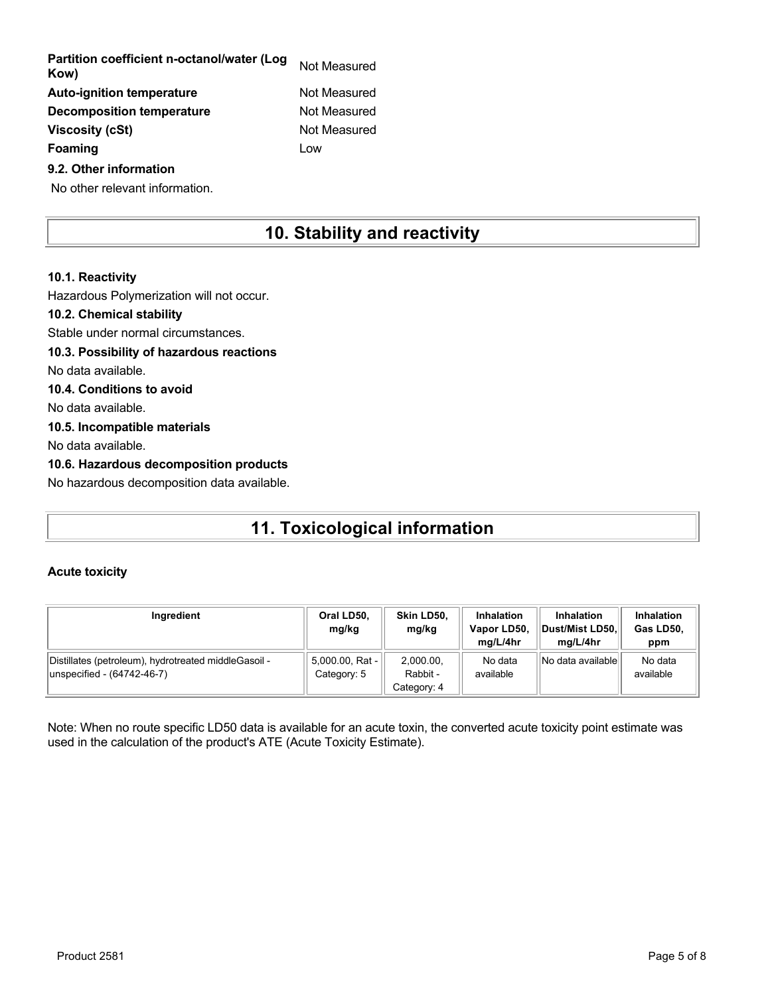| Partition coefficient n-octanol/water (Log<br>Kow) | Not Measured |
|----------------------------------------------------|--------------|
| <b>Auto-ignition temperature</b>                   | Not Measured |
| Decomposition temperature                          | Not Measured |
| <b>Viscosity (cSt)</b>                             | Not Measured |
| <b>Foaming</b>                                     | Low          |
| 9.2. Other information                             |              |

No other relevant information.

# **10. Stability and reactivity**

## **10.1. Reactivity** Hazardous Polymerization will not occur. **10.2. Chemical stability** Stable under normal circumstances. **10.3. Possibility of hazardous reactions** No data available. **10.4. Conditions to avoid** No data available. **10.5. Incompatible materials** No data available. **10.6. Hazardous decomposition products** No hazardous decomposition data available.

# **11. Toxicological information**

#### **Acute toxicity**

| Ingredient                                                                         | Oral LD50,<br>mg/kg            | Skin LD50.<br>mg/kg                  | <b>Inhalation</b><br>Vapor LD50,<br>ma/L/4hr | <b>Inhalation</b><br>Dust/Mist LD50.<br>ma/L/4hr | <b>Inhalation</b><br>Gas LD50,<br>ppm |
|------------------------------------------------------------------------------------|--------------------------------|--------------------------------------|----------------------------------------------|--------------------------------------------------|---------------------------------------|
| Distillates (petroleum), hydrotreated middleGasoil -<br>unspecified - (64742-46-7) | 5,000.00, Rat -<br>Category: 5 | 2.000.00.<br>Rabbit -<br>Category: 4 | No data<br>available                         | No data available                                | No data<br>available                  |

Note: When no route specific LD50 data is available for an acute toxin, the converted acute toxicity point estimate was used in the calculation of the product's ATE (Acute Toxicity Estimate).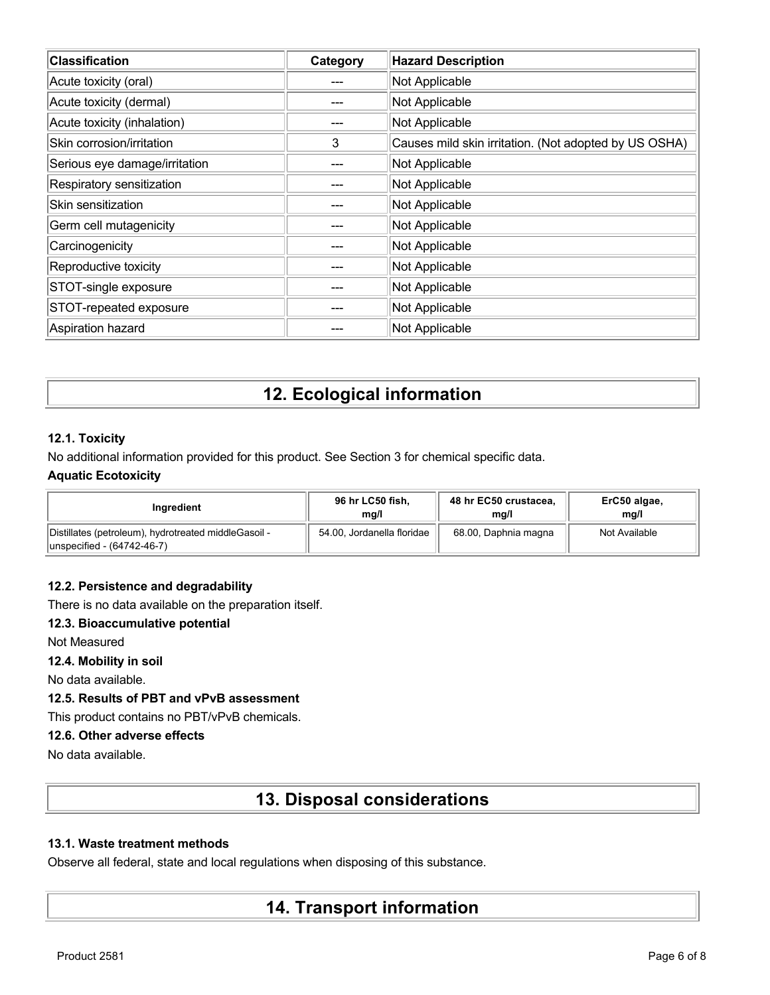| <b>Classification</b>         | Category | <b>Hazard Description</b>                             |
|-------------------------------|----------|-------------------------------------------------------|
| Acute toxicity (oral)         |          | Not Applicable                                        |
| Acute toxicity (dermal)       |          | Not Applicable                                        |
| Acute toxicity (inhalation)   |          | Not Applicable                                        |
| Skin corrosion/irritation     | 3        | Causes mild skin irritation. (Not adopted by US OSHA) |
| Serious eye damage/irritation |          | Not Applicable                                        |
| Respiratory sensitization     |          | Not Applicable                                        |
| Skin sensitization            |          | Not Applicable                                        |
| Germ cell mutagenicity        |          | Not Applicable                                        |
| Carcinogenicity               |          | Not Applicable                                        |
| Reproductive toxicity         |          | Not Applicable                                        |
| STOT-single exposure          |          | Not Applicable                                        |
| STOT-repeated exposure        |          | Not Applicable                                        |
| Aspiration hazard             |          | Not Applicable                                        |

# **12. Ecological information**

### **12.1. Toxicity**

No additional information provided for this product. See Section 3 for chemical specific data.

### **Aquatic Ecotoxicity**

| Inaredient                                                                         | 96 hr LC50 fish,           | 48 hr EC50 crustacea, | ErC50 algae,  |
|------------------------------------------------------------------------------------|----------------------------|-----------------------|---------------|
|                                                                                    | mg/l                       | mg/l                  | mq/l          |
| Distillates (petroleum), hydrotreated middleGasoil -<br>unspecified - (64742-46-7) | 54.00, Jordanella floridae | 68.00, Daphnia magna  | Not Available |

#### **12.2. Persistence and degradability**

There is no data available on the preparation itself.

### **12.3. Bioaccumulative potential**

Not Measured

**12.4. Mobility in soil**

No data available.

## **12.5. Results of PBT and vPvB assessment**

This product contains no PBT/vPvB chemicals.

### **12.6. Other adverse effects**

No data available.

# **13. Disposal considerations**

#### **13.1. Waste treatment methods**

Observe all federal, state and local regulations when disposing of this substance.

# **14. Transport information**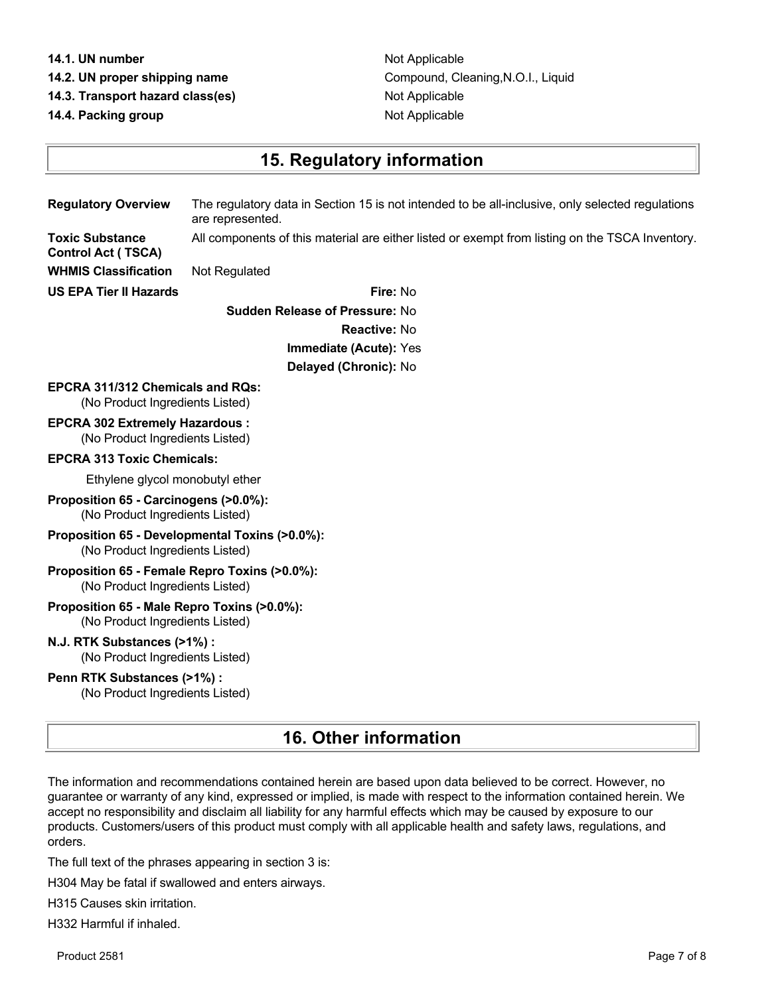#### **14.1. UN number** Not Applicable

- 
- **14.3. Transport hazard class(es)** Not Applicable

**14.4. Packing group Contract Contract Applicable Contract Contract Applicable** 

**Control Act ( TSCA)**

**14.2. UN proper shipping name** Compound, Cleaning,N.O.I., Liquid

# **15. Regulatory information**

**Regulatory Overview** The regulatory data in Section 15 is not intended to be all-inclusive, only selected regulations are represented. **Toxic Substance**

All components of this material are either listed or exempt from listing on the TSCA Inventory.

**WHMIS Classification** Not Regulated

**US EPA Tier II Hazards Fire:** No **Sudden Release of Pressure:** No **Reactive:** No **Immediate (Acute):** Yes **Delayed (Chronic):** No

## **EPCRA 311/312 Chemicals and RQs:**

(No Product Ingredients Listed)

**EPCRA 302 Extremely Hazardous :** (No Product Ingredients Listed)

#### **EPCRA 313 Toxic Chemicals:**

Ethylene glycol monobutyl ether

- **Proposition 65 Carcinogens (>0.0%):** (No Product Ingredients Listed)
- **Proposition 65 Developmental Toxins (>0.0%):** (No Product Ingredients Listed)
- **Proposition 65 Female Repro Toxins (>0.0%):** (No Product Ingredients Listed)

#### **Proposition 65 - Male Repro Toxins (>0.0%):** (No Product Ingredients Listed)

**N.J. RTK Substances (>1%) :** (No Product Ingredients Listed)

#### **Penn RTK Substances (>1%) :**

(No Product Ingredients Listed)

# **16. Other information**

The information and recommendations contained herein are based upon data believed to be correct. However, no guarantee or warranty of any kind, expressed or implied, is made with respect to the information contained herein. We accept no responsibility and disclaim all liability for any harmful effects which may be caused by exposure to our products. Customers/users of this product must comply with all applicable health and safety laws, regulations, and orders.

The full text of the phrases appearing in section 3 is:

H304 May be fatal if swallowed and enters airways.

H315 Causes skin irritation.

H332 Harmful if inhaled.